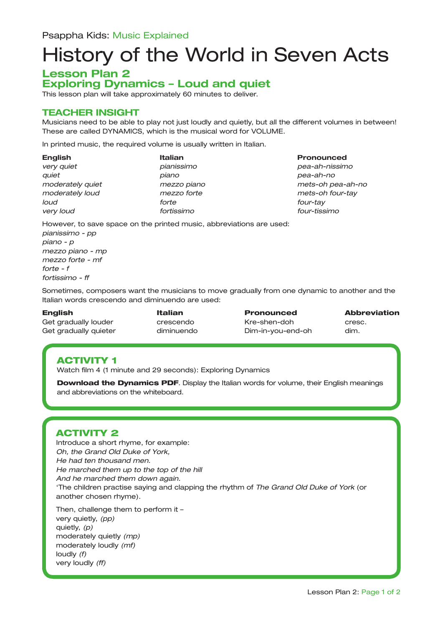# History of the World in Seven Acts

#### **Lesson Plan 2 Exploring Dynamics – Loud and quiet**

This lesson plan will take approximately 60 minutes to deliver.

#### **TEACHER INSIGHT**

Musicians need to be able to play not just loudly and quietly, but all the different volumes in between! These are called DYNAMICS, which is the musical word for VOLUME.

In printed music, the required volume is usually written in Italian.

| <b>English</b>   | <b>Italian</b> | Pronounced    |
|------------------|----------------|---------------|
| very quiet       | pianissimo     | pea-ah-nissin |
| auiet            | piano          | pea-ah-no     |
| moderately quiet | mezzo piano    | mets-oh pea-  |
| moderately loud  | mezzo forte    | mets-oh four- |
| loud             | forte          | four-tay      |
| very loud        | fortissimo     | four-tissimo  |
| $\blacksquare$   | .              |               |

*very quiet pianissimo pea-ah-nissimo moderately quiet mezzo piano mets-oh pea-ah-no moderately loud mezzo forte mets-oh four-tay*

However, to save space on the printed music, abbreviations are used:

*pianissimo - pp piano - p mezzo piano - mp mezzo forte - mf forte - f fortissimo - ff*

Sometimes, composers want the musicians to move gradually from one dynamic to another and the Italian words crescendo and diminuendo are used:

Get gradually louder crescendo Kre-shen-doh cresc. Get gradually quieter diminuendo Dim-in-you-end-oh dim.

English Italian Pronounced Abbreviation

# ACTIVITY 1

Watch film 4 (1 minute and 29 seconds): Exploring Dynamics

**Download the Dynamics PDF**. Display the Italian words for volume, their English meanings and abbreviations on the whiteboard.

#### ACTIVITY 2

Introduce a short rhyme, for example: *Oh, the Grand Old Duke of York, He had ten thousand men. He marched them up to the top of the hill And he marched them down again.* 'The children practise saying and clapping the rhythm of *The Grand Old Duke of York* (or another chosen rhyme).

Then, challenge them to perform it – very quietly, *(pp)* quietly, *(p)* moderately quietly *(mp)*  moderately loudly *(mf)* loudly *(f)* very loudly *(ff)*